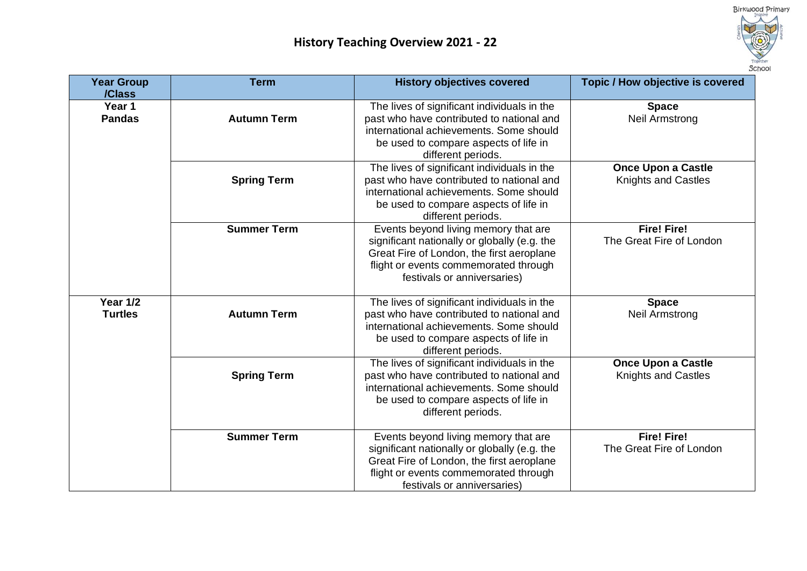

| <b>Year Group</b><br>/Class       | <b>Term</b>        | <b>History objectives covered</b>                                                                                                                                                                         | Topic / How objective is covered                        |
|-----------------------------------|--------------------|-----------------------------------------------------------------------------------------------------------------------------------------------------------------------------------------------------------|---------------------------------------------------------|
| Year 1<br><b>Pandas</b>           | <b>Autumn Term</b> | The lives of significant individuals in the<br>past who have contributed to national and<br>international achievements. Some should<br>be used to compare aspects of life in<br>different periods.        | <b>Space</b><br><b>Neil Armstrong</b>                   |
|                                   | <b>Spring Term</b> | The lives of significant individuals in the<br>past who have contributed to national and<br>international achievements. Some should<br>be used to compare aspects of life in<br>different periods.        | <b>Once Upon a Castle</b><br><b>Knights and Castles</b> |
|                                   | <b>Summer Term</b> | Events beyond living memory that are<br>significant nationally or globally (e.g. the<br>Great Fire of London, the first aeroplane<br>flight or events commemorated through<br>festivals or anniversaries) | <b>Fire! Fire!</b><br>The Great Fire of London          |
| <b>Year 1/2</b><br><b>Turtles</b> | <b>Autumn Term</b> | The lives of significant individuals in the<br>past who have contributed to national and<br>international achievements. Some should<br>be used to compare aspects of life in<br>different periods.        | <b>Space</b><br>Neil Armstrong                          |
|                                   | <b>Spring Term</b> | The lives of significant individuals in the<br>past who have contributed to national and<br>international achievements. Some should<br>be used to compare aspects of life in<br>different periods.        | <b>Once Upon a Castle</b><br><b>Knights and Castles</b> |
|                                   | <b>Summer Term</b> | Events beyond living memory that are<br>significant nationally or globally (e.g. the<br>Great Fire of London, the first aeroplane<br>flight or events commemorated through<br>festivals or anniversaries) | <b>Fire! Fire!</b><br>The Great Fire of London          |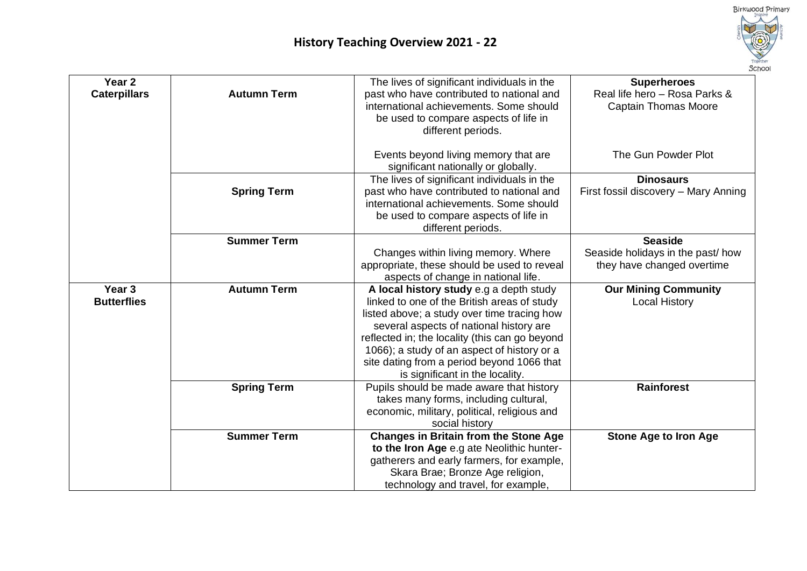

| Year <sub>2</sub><br><b>Caterpillars</b> | <b>Autumn Term</b> | The lives of significant individuals in the<br>past who have contributed to national and<br>international achievements. Some should<br>be used to compare aspects of life in<br>different periods.                                                                                                                                                                 | <b>Superheroes</b><br>Real life hero - Rosa Parks &<br><b>Captain Thomas Moore</b> |
|------------------------------------------|--------------------|--------------------------------------------------------------------------------------------------------------------------------------------------------------------------------------------------------------------------------------------------------------------------------------------------------------------------------------------------------------------|------------------------------------------------------------------------------------|
|                                          |                    | Events beyond living memory that are<br>significant nationally or globally.                                                                                                                                                                                                                                                                                        | The Gun Powder Plot                                                                |
|                                          | <b>Spring Term</b> | The lives of significant individuals in the<br>past who have contributed to national and<br>international achievements. Some should<br>be used to compare aspects of life in<br>different periods.                                                                                                                                                                 | <b>Dinosaurs</b><br>First fossil discovery - Mary Anning                           |
|                                          | <b>Summer Term</b> | Changes within living memory. Where<br>appropriate, these should be used to reveal<br>aspects of change in national life.                                                                                                                                                                                                                                          | <b>Seaside</b><br>Seaside holidays in the past/how<br>they have changed overtime   |
| Year <sub>3</sub><br><b>Butterflies</b>  | <b>Autumn Term</b> | A local history study e.g a depth study<br>linked to one of the British areas of study<br>listed above; a study over time tracing how<br>several aspects of national history are<br>reflected in; the locality (this can go beyond<br>1066); a study of an aspect of history or a<br>site dating from a period beyond 1066 that<br>is significant in the locality. | <b>Our Mining Community</b><br><b>Local History</b>                                |
|                                          | <b>Spring Term</b> | Pupils should be made aware that history<br>takes many forms, including cultural,<br>economic, military, political, religious and<br>social history                                                                                                                                                                                                                | <b>Rainforest</b>                                                                  |
|                                          | <b>Summer Term</b> | <b>Changes in Britain from the Stone Age</b><br>to the Iron Age e.g ate Neolithic hunter-<br>gatherers and early farmers, for example,<br>Skara Brae; Bronze Age religion,<br>technology and travel, for example,                                                                                                                                                  | <b>Stone Age to Iron Age</b>                                                       |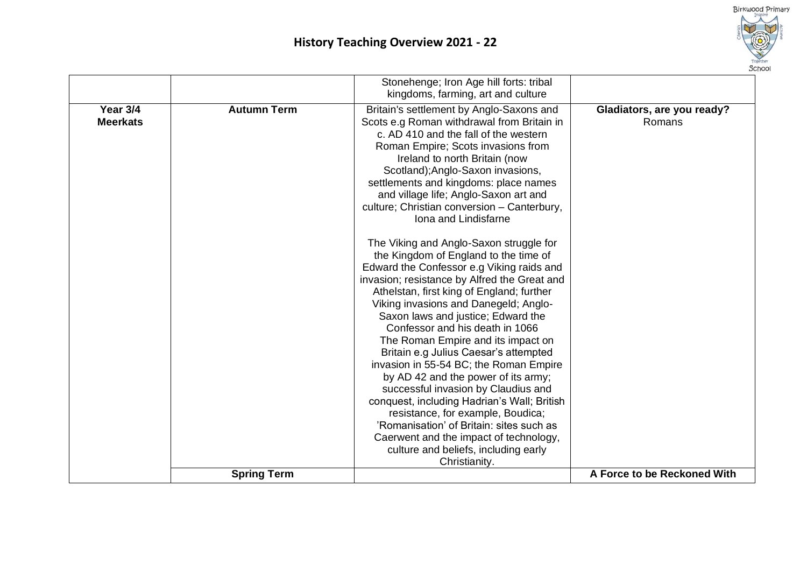

|                             |                    | Stonehenge; Iron Age hill forts: tribal<br>kingdoms, farming, art and culture                                                                                                                                                                                                                                                                                                                                                                                                                                                                                                                                                                                                                                                                                                                                                                                                                                                                                                                                                                                                                                                                                                                  |                                      |
|-----------------------------|--------------------|------------------------------------------------------------------------------------------------------------------------------------------------------------------------------------------------------------------------------------------------------------------------------------------------------------------------------------------------------------------------------------------------------------------------------------------------------------------------------------------------------------------------------------------------------------------------------------------------------------------------------------------------------------------------------------------------------------------------------------------------------------------------------------------------------------------------------------------------------------------------------------------------------------------------------------------------------------------------------------------------------------------------------------------------------------------------------------------------------------------------------------------------------------------------------------------------|--------------------------------------|
| Year 3/4<br><b>Meerkats</b> | <b>Autumn Term</b> | Britain's settlement by Anglo-Saxons and<br>Scots e.g Roman withdrawal from Britain in<br>c. AD 410 and the fall of the western<br>Roman Empire; Scots invasions from<br>Ireland to north Britain (now<br>Scotland); Anglo-Saxon invasions,<br>settlements and kingdoms: place names<br>and village life; Anglo-Saxon art and<br>culture; Christian conversion - Canterbury,<br>Iona and Lindisfarne<br>The Viking and Anglo-Saxon struggle for<br>the Kingdom of England to the time of<br>Edward the Confessor e.g Viking raids and<br>invasion; resistance by Alfred the Great and<br>Athelstan, first king of England; further<br>Viking invasions and Danegeld; Anglo-<br>Saxon laws and justice; Edward the<br>Confessor and his death in 1066<br>The Roman Empire and its impact on<br>Britain e.g Julius Caesar's attempted<br>invasion in 55-54 BC; the Roman Empire<br>by AD 42 and the power of its army;<br>successful invasion by Claudius and<br>conquest, including Hadrian's Wall; British<br>resistance, for example, Boudica;<br>'Romanisation' of Britain: sites such as<br>Caerwent and the impact of technology,<br>culture and beliefs, including early<br>Christianity. | Gladiators, are you ready?<br>Romans |
|                             | <b>Spring Term</b> |                                                                                                                                                                                                                                                                                                                                                                                                                                                                                                                                                                                                                                                                                                                                                                                                                                                                                                                                                                                                                                                                                                                                                                                                | A Force to be Reckoned With          |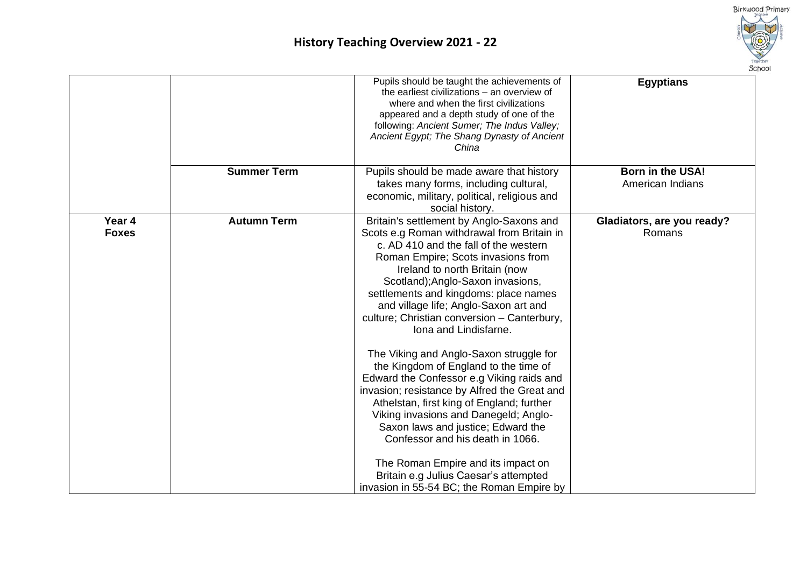

|                        |                    | Pupils should be taught the achievements of<br>the earliest civilizations – an overview of<br>where and when the first civilizations<br>appeared and a depth study of one of the<br>following: Ancient Sumer; The Indus Valley;<br>Ancient Egypt; The Shang Dynasty of Ancient<br>China                                                                                                                                                                                                                                                                                                                                                                                                                                                                                                                                               | <b>Egyptians</b>                            |
|------------------------|--------------------|---------------------------------------------------------------------------------------------------------------------------------------------------------------------------------------------------------------------------------------------------------------------------------------------------------------------------------------------------------------------------------------------------------------------------------------------------------------------------------------------------------------------------------------------------------------------------------------------------------------------------------------------------------------------------------------------------------------------------------------------------------------------------------------------------------------------------------------|---------------------------------------------|
|                        | <b>Summer Term</b> | Pupils should be made aware that history<br>takes many forms, including cultural,<br>economic, military, political, religious and<br>social history.                                                                                                                                                                                                                                                                                                                                                                                                                                                                                                                                                                                                                                                                                  | <b>Born in the USA!</b><br>American Indians |
| Year 4<br><b>Foxes</b> | <b>Autumn Term</b> | Britain's settlement by Anglo-Saxons and<br>Scots e.g Roman withdrawal from Britain in<br>c. AD 410 and the fall of the western<br>Roman Empire; Scots invasions from<br>Ireland to north Britain (now<br>Scotland); Anglo-Saxon invasions,<br>settlements and kingdoms: place names<br>and village life; Anglo-Saxon art and<br>culture; Christian conversion - Canterbury,<br>Iona and Lindisfarne.<br>The Viking and Anglo-Saxon struggle for<br>the Kingdom of England to the time of<br>Edward the Confessor e.g Viking raids and<br>invasion; resistance by Alfred the Great and<br>Athelstan, first king of England; further<br>Viking invasions and Danegeld; Anglo-<br>Saxon laws and justice; Edward the<br>Confessor and his death in 1066.<br>The Roman Empire and its impact on<br>Britain e.g Julius Caesar's attempted | Gladiators, are you ready?<br>Romans        |
|                        |                    | invasion in 55-54 BC; the Roman Empire by                                                                                                                                                                                                                                                                                                                                                                                                                                                                                                                                                                                                                                                                                                                                                                                             |                                             |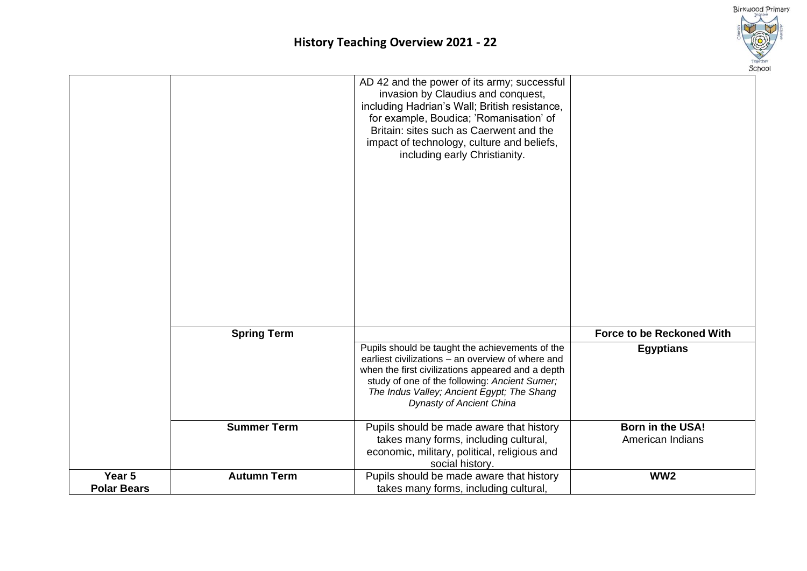

|                              |                    | AD 42 and the power of its army; successful<br>invasion by Claudius and conquest,<br>including Hadrian's Wall; British resistance,<br>for example, Boudica; 'Romanisation' of<br>Britain: sites such as Caerwent and the<br>impact of technology, culture and beliefs,<br>including early Christianity. |                                  |
|------------------------------|--------------------|---------------------------------------------------------------------------------------------------------------------------------------------------------------------------------------------------------------------------------------------------------------------------------------------------------|----------------------------------|
|                              | <b>Spring Term</b> |                                                                                                                                                                                                                                                                                                         | <b>Force to be Reckoned With</b> |
|                              |                    | Pupils should be taught the achievements of the<br>earliest civilizations - an overview of where and<br>when the first civilizations appeared and a depth<br>study of one of the following: Ancient Sumer;<br>The Indus Valley; Ancient Egypt; The Shang<br><b>Dynasty of Ancient China</b>             | <b>Egyptians</b>                 |
|                              | <b>Summer Term</b> | Pupils should be made aware that history                                                                                                                                                                                                                                                                | <b>Born in the USA!</b>          |
|                              |                    | takes many forms, including cultural,<br>economic, military, political, religious and<br>social history.                                                                                                                                                                                                | American Indians                 |
| Year 5<br><b>Polar Bears</b> | <b>Autumn Term</b> | Pupils should be made aware that history<br>takes many forms, including cultural,                                                                                                                                                                                                                       | WW <sub>2</sub>                  |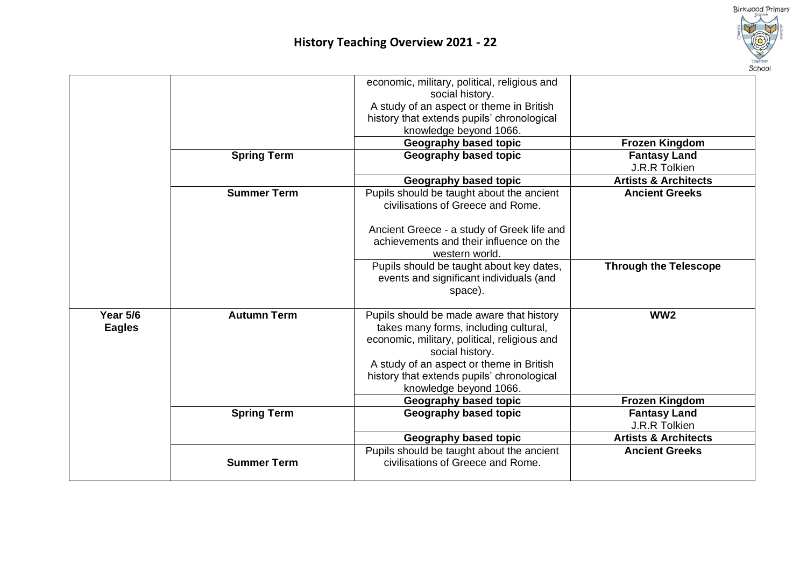

|                 |                    | economic, military, political, religious and                                   |                                      |
|-----------------|--------------------|--------------------------------------------------------------------------------|--------------------------------------|
|                 |                    | social history.                                                                |                                      |
|                 |                    | A study of an aspect or theme in British                                       |                                      |
|                 |                    | history that extends pupils' chronological                                     |                                      |
|                 |                    | knowledge beyond 1066.                                                         |                                      |
|                 |                    | Geography based topic                                                          | <b>Frozen Kingdom</b>                |
|                 | <b>Spring Term</b> | Geography based topic                                                          | <b>Fantasy Land</b>                  |
|                 |                    |                                                                                | J.R.R Tolkien                        |
|                 |                    | Geography based topic                                                          | <b>Artists &amp; Architects</b>      |
|                 | <b>Summer Term</b> | Pupils should be taught about the ancient<br>civilisations of Greece and Rome. | <b>Ancient Greeks</b>                |
|                 |                    |                                                                                |                                      |
|                 |                    | Ancient Greece - a study of Greek life and                                     |                                      |
|                 |                    | achievements and their influence on the                                        |                                      |
|                 |                    | western world.                                                                 |                                      |
|                 |                    | Pupils should be taught about key dates,                                       | <b>Through the Telescope</b>         |
|                 |                    | events and significant individuals (and                                        |                                      |
|                 |                    | space).                                                                        |                                      |
|                 |                    |                                                                                |                                      |
| <b>Year 5/6</b> | <b>Autumn Term</b> | Pupils should be made aware that history                                       | WW <sub>2</sub>                      |
| <b>Eagles</b>   |                    | takes many forms, including cultural,                                          |                                      |
|                 |                    | economic, military, political, religious and                                   |                                      |
|                 |                    | social history.                                                                |                                      |
|                 |                    | A study of an aspect or theme in British                                       |                                      |
|                 |                    | history that extends pupils' chronological                                     |                                      |
|                 |                    | knowledge beyond 1066.                                                         |                                      |
|                 |                    | Geography based topic                                                          | <b>Frozen Kingdom</b>                |
|                 | <b>Spring Term</b> | Geography based topic                                                          | <b>Fantasy Land</b><br>J.R.R Tolkien |
|                 |                    |                                                                                |                                      |
|                 |                    | Geography based topic                                                          | <b>Artists &amp; Architects</b>      |
|                 | <b>Summer Term</b> | Pupils should be taught about the ancient<br>civilisations of Greece and Rome. | <b>Ancient Greeks</b>                |
|                 |                    |                                                                                |                                      |
|                 |                    |                                                                                |                                      |